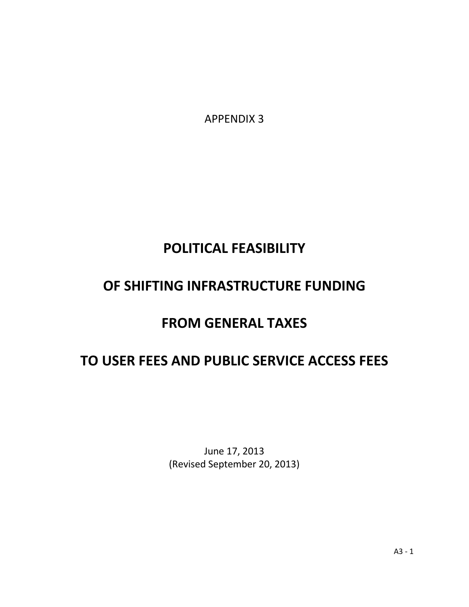APPENDIX 3

# **POLITICAL FEASIBILITY**

# **OF SHIFTING INFRASTRUCTURE FUNDING**

# **FROM GENERAL TAXES**

# **TO USER FEES AND PUBLIC SERVICE ACCESS FEES**

June 17, 2013 (Revised September 20, 2013)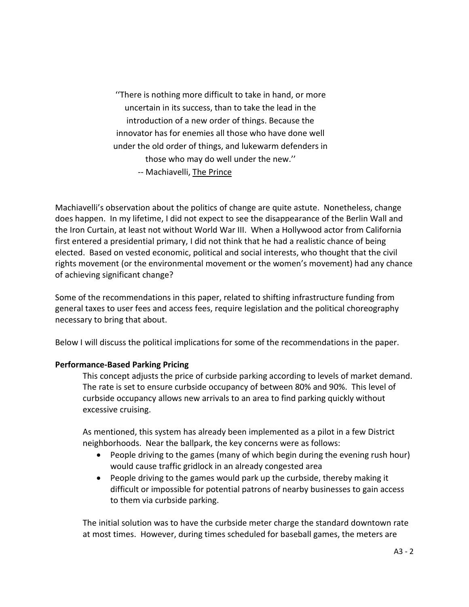''There is nothing more difficult to take in hand, or more uncertain in its success, than to take the lead in the introduction of a new order of things. Because the innovator has for enemies all those who have done well under the old order of things, and lukewarm defenders in those who may do well under the new.'' -- Machiavelli, The Prince

Machiavelli's observation about the politics of change are quite astute. Nonetheless, change does happen. In my lifetime, I did not expect to see the disappearance of the Berlin Wall and the Iron Curtain, at least not without World War III. When a Hollywood actor from California first entered a presidential primary, I did not think that he had a realistic chance of being elected. Based on vested economic, political and social interests, who thought that the civil rights movement (or the environmental movement or the women's movement) had any chance of achieving significant change?

Some of the recommendations in this paper, related to shifting infrastructure funding from general taxes to user fees and access fees, require legislation and the political choreography necessary to bring that about.

Below I will discuss the political implications for some of the recommendations in the paper.

## **Performance-Based Parking Pricing**

This concept adjusts the price of curbside parking according to levels of market demand. The rate is set to ensure curbside occupancy of between 80% and 90%. This level of curbside occupancy allows new arrivals to an area to find parking quickly without excessive cruising.

As mentioned, this system has already been implemented as a pilot in a few District neighborhoods. Near the ballpark, the key concerns were as follows:

- People driving to the games (many of which begin during the evening rush hour) would cause traffic gridlock in an already congested area
- People driving to the games would park up the curbside, thereby making it difficult or impossible for potential patrons of nearby businesses to gain access to them via curbside parking.

The initial solution was to have the curbside meter charge the standard downtown rate at most times. However, during times scheduled for baseball games, the meters are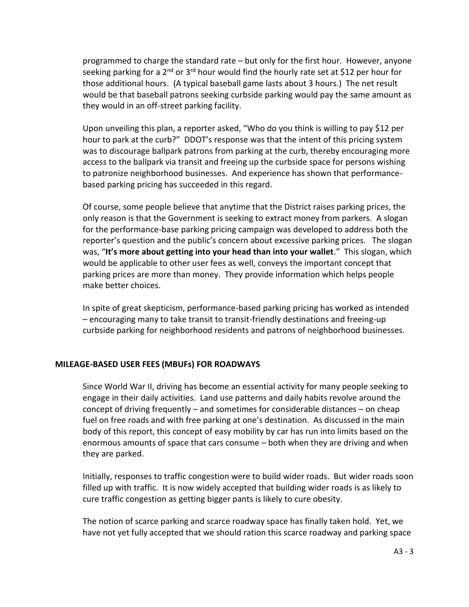programmed to charge the standard rate – but only for the first hour. However, anyone seeking parking for a 2<sup>nd</sup> or 3<sup>rd</sup> hour would find the hourly rate set at \$12 per hour for those additional hours. (A typical baseball game lasts about 3 hours.) The net result would be that baseball patrons seeking curbside parking would pay the same amount as they would in an off-street parking facility.

Upon unveiling this plan, a reporter asked, "Who do you think is willing to pay \$12 per hour to park at the curb?" DDOT's response was that the intent of this pricing system was to discourage ballpark patrons from parking at the curb, thereby encouraging more access to the ballpark via transit and freeing up the curbside space for persons wishing to patronize neighborhood businesses. And experience has shown that performancebased parking pricing has succeeded in this regard.

Of course, some people believe that anytime that the District raises parking prices, the only reason is that the Government is seeking to extract money from parkers. A slogan for the performance-base parking pricing campaign was developed to address both the reporter's question and the public's concern about excessive parking prices. The slogan was, "**It's more about getting into your head than into your wallet**." This slogan, which would be applicable to other user fees as well, conveys the important concept that parking prices are more than money. They provide information which helps people make better choices.

In spite of great skepticism, performance-based parking pricing has worked as intended – encouraging many to take transit to transit-friendly destinations and freeing-up curbside parking for neighborhood residents and patrons of neighborhood businesses.

#### **MILEAGE-BASED USER FEES (MBUFs) FOR ROADWAYS**

Since World War II, driving has become an essential activity for many people seeking to engage in their daily activities. Land use patterns and daily habits revolve around the concept of driving frequently – and sometimes for considerable distances – on cheap fuel on free roads and with free parking at one's destination. As discussed in the main body of this report, this concept of easy mobility by car has run into limits based on the enormous amounts of space that cars consume – both when they are driving and when they are parked.

Initially, responses to traffic congestion were to build wider roads. But wider roads soon filled up with traffic. It is now widely accepted that building wider roads is as likely to cure traffic congestion as getting bigger pants is likely to cure obesity.

The notion of scarce parking and scarce roadway space has finally taken hold. Yet, we have not yet fully accepted that we should ration this scarce roadway and parking space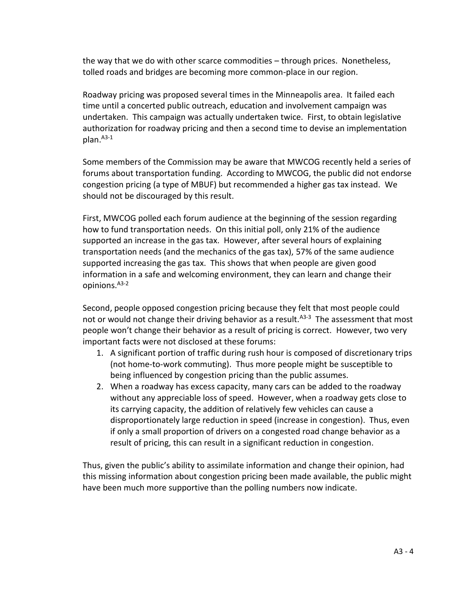the way that we do with other scarce commodities – through prices. Nonetheless, tolled roads and bridges are becoming more common-place in our region.

Roadway pricing was proposed several times in the Minneapolis area. It failed each time until a concerted public outreach, education and involvement campaign was undertaken. This campaign was actually undertaken twice. First, to obtain legislative authorization for roadway pricing and then a second time to devise an implementation plan. <sup>A3-1</sup>

Some members of the Commission may be aware that MWCOG recently held a series of forums about transportation funding. According to MWCOG, the public did not endorse congestion pricing (a type of MBUF) but recommended a higher gas tax instead. We should not be discouraged by this result.

First, MWCOG polled each forum audience at the beginning of the session regarding how to fund transportation needs. On this initial poll, only 21% of the audience supported an increase in the gas tax. However, after several hours of explaining transportation needs (and the mechanics of the gas tax), 57% of the same audience supported increasing the gas tax. This shows that when people are given good information in a safe and welcoming environment, they can learn and change their opinions. A3-2

Second, people opposed congestion pricing because they felt that most people could not or would not change their driving behavior as a result.<sup>A3-3</sup> The assessment that most people won't change their behavior as a result of pricing is correct. However, two very important facts were not disclosed at these forums:

- 1. A significant portion of traffic during rush hour is composed of discretionary trips (not home-to-work commuting). Thus more people might be susceptible to being influenced by congestion pricing than the public assumes.
- 2. When a roadway has excess capacity, many cars can be added to the roadway without any appreciable loss of speed. However, when a roadway gets close to its carrying capacity, the addition of relatively few vehicles can cause a disproportionately large reduction in speed (increase in congestion). Thus, even if only a small proportion of drivers on a congested road change behavior as a result of pricing, this can result in a significant reduction in congestion.

Thus, given the public's ability to assimilate information and change their opinion, had this missing information about congestion pricing been made available, the public might have been much more supportive than the polling numbers now indicate.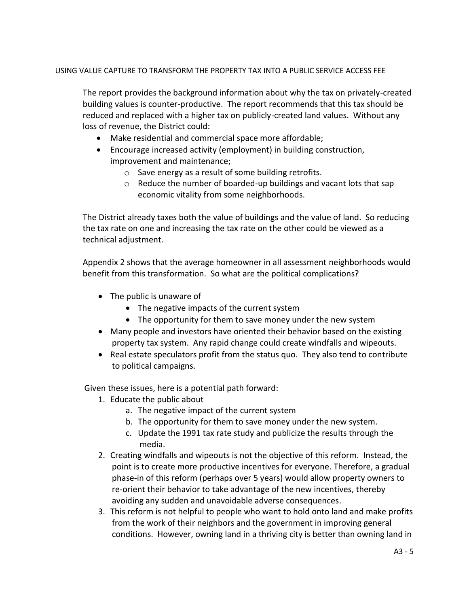#### USING VALUE CAPTURE TO TRANSFORM THE PROPERTY TAX INTO A PUBLIC SERVICE ACCESS FEE

The report provides the background information about why the tax on privately-created building values is counter-productive. The report recommends that this tax should be reduced and replaced with a higher tax on publicly-created land values. Without any loss of revenue, the District could:

- Make residential and commercial space more affordable;
- Encourage increased activity (employment) in building construction, improvement and maintenance;
	- o Save energy as a result of some building retrofits.
	- $\circ$  Reduce the number of boarded-up buildings and vacant lots that sap economic vitality from some neighborhoods.

The District already taxes both the value of buildings and the value of land. So reducing the tax rate on one and increasing the tax rate on the other could be viewed as a technical adjustment.

Appendix 2 shows that the average homeowner in all assessment neighborhoods would benefit from this transformation. So what are the political complications?

- The public is unaware of
	- The negative impacts of the current system
	- The opportunity for them to save money under the new system
- Many people and investors have oriented their behavior based on the existing property tax system. Any rapid change could create windfalls and wipeouts.
- Real estate speculators profit from the status quo. They also tend to contribute to political campaigns.

Given these issues, here is a potential path forward:

- 1. Educate the public about
	- a. The negative impact of the current system
	- b. The opportunity for them to save money under the new system.
	- c. Update the 1991 tax rate study and publicize the results through the media.
- 2. Creating windfalls and wipeouts is not the objective of this reform. Instead, the point is to create more productive incentives for everyone. Therefore, a gradual phase-in of this reform (perhaps over 5 years) would allow property owners to re-orient their behavior to take advantage of the new incentives, thereby avoiding any sudden and unavoidable adverse consequences.
- 3. This reform is not helpful to people who want to hold onto land and make profits from the work of their neighbors and the government in improving general conditions. However, owning land in a thriving city is better than owning land in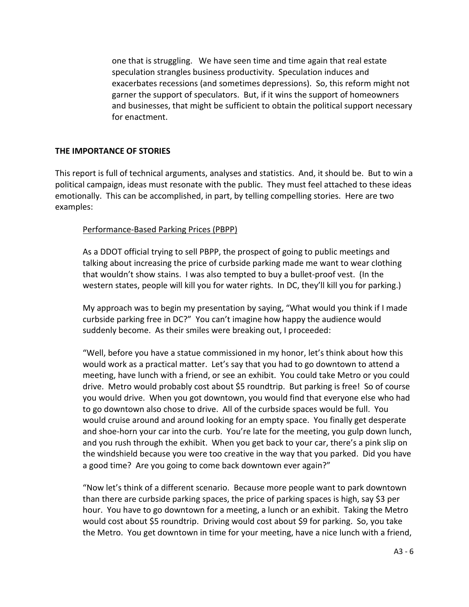one that is struggling. We have seen time and time again that real estate speculation strangles business productivity. Speculation induces and exacerbates recessions (and sometimes depressions). So, this reform might not garner the support of speculators. But, if it wins the support of homeowners and businesses, that might be sufficient to obtain the political support necessary for enactment.

#### **THE IMPORTANCE OF STORIES**

This report is full of technical arguments, analyses and statistics. And, it should be. But to win a political campaign, ideas must resonate with the public. They must feel attached to these ideas emotionally. This can be accomplished, in part, by telling compelling stories. Here are two examples:

### Performance-Based Parking Prices (PBPP)

As a DDOT official trying to sell PBPP, the prospect of going to public meetings and talking about increasing the price of curbside parking made me want to wear clothing that wouldn't show stains. I was also tempted to buy a bullet-proof vest. (In the western states, people will kill you for water rights. In DC, they'll kill you for parking.)

My approach was to begin my presentation by saying, "What would you think if I made curbside parking free in DC?" You can't imagine how happy the audience would suddenly become. As their smiles were breaking out, I proceeded:

"Well, before you have a statue commissioned in my honor, let's think about how this would work as a practical matter. Let's say that you had to go downtown to attend a meeting, have lunch with a friend, or see an exhibit. You could take Metro or you could drive. Metro would probably cost about \$5 roundtrip. But parking is free! So of course you would drive. When you got downtown, you would find that everyone else who had to go downtown also chose to drive. All of the curbside spaces would be full. You would cruise around and around looking for an empty space. You finally get desperate and shoe-horn your car into the curb. You're late for the meeting, you gulp down lunch, and you rush through the exhibit. When you get back to your car, there's a pink slip on the windshield because you were too creative in the way that you parked. Did you have a good time? Are you going to come back downtown ever again?"

"Now let's think of a different scenario. Because more people want to park downtown than there are curbside parking spaces, the price of parking spaces is high, say \$3 per hour. You have to go downtown for a meeting, a lunch or an exhibit. Taking the Metro would cost about \$5 roundtrip. Driving would cost about \$9 for parking. So, you take the Metro. You get downtown in time for your meeting, have a nice lunch with a friend,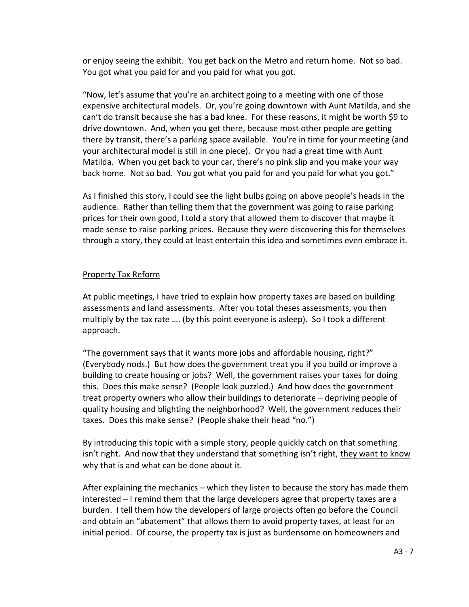or enjoy seeing the exhibit. You get back on the Metro and return home. Not so bad. You got what you paid for and you paid for what you got.

"Now, let's assume that you're an architect going to a meeting with one of those expensive architectural models. Or, you're going downtown with Aunt Matilda, and she can't do transit because she has a bad knee. For these reasons, it might be worth \$9 to drive downtown. And, when you get there, because most other people are getting there by transit, there's a parking space available. You're in time for your meeting (and your architectural model is still in one piece). Or you had a great time with Aunt Matilda. When you get back to your car, there's no pink slip and you make your way back home. Not so bad. You got what you paid for and you paid for what you got."

As I finished this story, I could see the light bulbs going on above people's heads in the audience. Rather than telling them that the government was going to raise parking prices for their own good, I told a story that allowed them to discover that maybe it made sense to raise parking prices. Because they were discovering this for themselves through a story, they could at least entertain this idea and sometimes even embrace it.

## Property Tax Reform

At public meetings, I have tried to explain how property taxes are based on building assessments and land assessments. After you total theses assessments, you then multiply by the tax rate …. (by this point everyone is asleep). So I took a different approach.

"The government says that it wants more jobs and affordable housing, right?" (Everybody nods.) But how does the government treat you if you build or improve a building to create housing or jobs? Well, the government raises your taxes for doing this. Does this make sense? (People look puzzled.) And how does the government treat property owners who allow their buildings to deteriorate – depriving people of quality housing and blighting the neighborhood? Well, the government reduces their taxes. Does this make sense? (People shake their head "no.")

By introducing this topic with a simple story, people quickly catch on that something isn't right. And now that they understand that something isn't right, they want to know why that is and what can be done about it.

After explaining the mechanics – which they listen to because the story has made them interested – I remind them that the large developers agree that property taxes are a burden. I tell them how the developers of large projects often go before the Council and obtain an "abatement" that allows them to avoid property taxes, at least for an initial period. Of course, the property tax is just as burdensome on homeowners and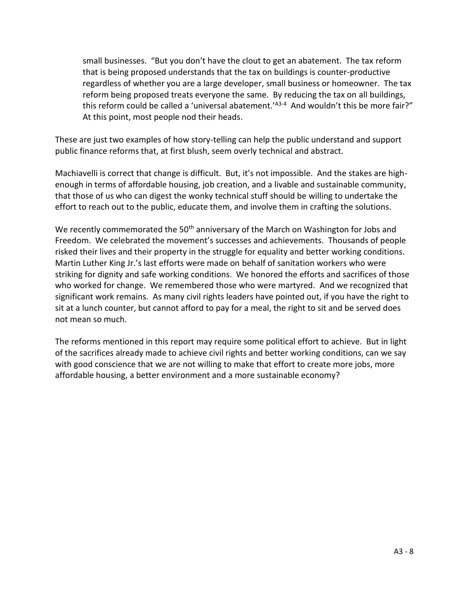small businesses. "But you don't have the clout to get an abatement. The tax reform that is being proposed understands that the tax on buildings is counter-productive regardless of whether you are a large developer, small business or homeowner. The tax reform being proposed treats everyone the same. By reducing the tax on all buildings, this reform could be called a 'universal abatement.'<sup>A3-4</sup> And wouldn't this be more fair?" At this point, most people nod their heads.

These are just two examples of how story-telling can help the public understand and support public finance reforms that, at first blush, seem overly technical and abstract.

Machiavelli is correct that change is difficult. But, it's not impossible. And the stakes are highenough in terms of affordable housing, job creation, and a livable and sustainable community, that those of us who can digest the wonky technical stuff should be willing to undertake the effort to reach out to the public, educate them, and involve them in crafting the solutions.

We recently commemorated the 50<sup>th</sup> anniversary of the March on Washington for Jobs and Freedom. We celebrated the movement's successes and achievements. Thousands of people risked their lives and their property in the struggle for equality and better working conditions. Martin Luther King Jr.'s last efforts were made on behalf of sanitation workers who were striking for dignity and safe working conditions. We honored the efforts and sacrifices of those who worked for change. We remembered those who were martyred. And we recognized that significant work remains. As many civil rights leaders have pointed out, if you have the right to sit at a lunch counter, but cannot afford to pay for a meal, the right to sit and be served does not mean so much.

The reforms mentioned in this report may require some political effort to achieve. But in light of the sacrifices already made to achieve civil rights and better working conditions, can we say with good conscience that we are not willing to make that effort to create more jobs, more affordable housing, a better environment and a more sustainable economy?